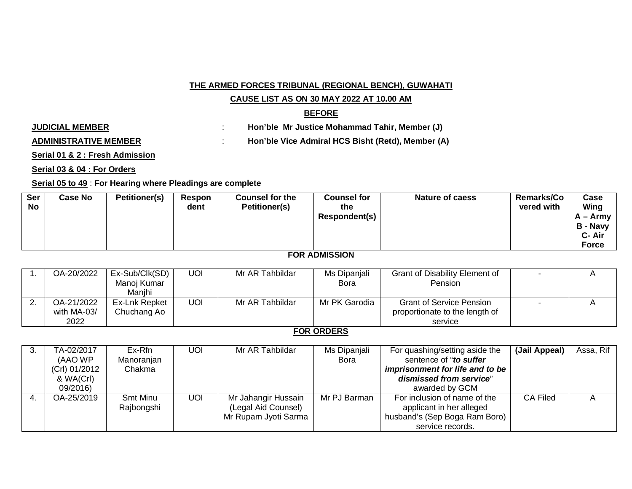### **THE ARMED FORCES TRIBUNAL (REGIONAL BENCH), GUWAHATI**

### **CAUSE LIST AS ON 30 MAY 2022 AT 10.00 AM**

## **BEFORE**

**JUDICIAL MEMBER** : **Hon'ble Mr Justice Mohammad Tahir, Member (J)**

**ADMINISTRATIVE MEMBER** : **Hon'ble Vice Admiral HCS Bisht (Retd), Member (A)**

**Serial 01 & 2 : Fresh Admission**

**Serial 03 & 04 : For Orders**

**Serial 05 to 49** : **For Hearing where Pleadings are complete**

| <b>Ser</b> | <b>Case No</b>       | <b>Petitioner(s)</b> | Respon | <b>Counsel for the</b> | <b>Counsel for</b> | <b>Nature of caess</b> | Remarks/Co | Case         |  |  |  |
|------------|----------------------|----------------------|--------|------------------------|--------------------|------------------------|------------|--------------|--|--|--|
| No         |                      |                      | dent   | <b>Petitioner(s)</b>   | the                |                        | vered with | Wing         |  |  |  |
|            |                      |                      |        |                        | Respondent(s)      |                        |            | $A - Army$   |  |  |  |
|            |                      |                      |        |                        |                    |                        |            | B - Navy     |  |  |  |
|            |                      |                      |        |                        |                    |                        |            | C-Air        |  |  |  |
|            |                      |                      |        |                        |                    |                        |            | <b>Force</b> |  |  |  |
|            | <b>FOR ADMISSION</b> |                      |        |                        |                    |                        |            |              |  |  |  |

|          | OA-20/2022                        | Ex-Sub/Clk(SD)<br>Manoj Kumar<br>Manihi | <b>UOI</b> | Mr AR Tahbildar | Ms Dipanjali<br>Bora | <b>Grant of Disability Element of</b><br><b>Pension</b>                      |  |
|----------|-----------------------------------|-----------------------------------------|------------|-----------------|----------------------|------------------------------------------------------------------------------|--|
| <u>.</u> | OA-21/2022<br>with MA-03/<br>2022 | Ex-Lnk Repket<br>Chuchang Ao            | <b>UOI</b> | Mr AR Tahbildar | Mr PK Garodia        | <b>Grant of Service Pension</b><br>proportionate to the length of<br>service |  |

## **FOR ORDERS**

| TA-02/2017    | Ex-Rfn     | UOL | Mr AR Tahbildar      | Ms Dipanjali | For quashing/setting aside the  | (Jail Appeal)   | Assa, Rif |
|---------------|------------|-----|----------------------|--------------|---------------------------------|-----------------|-----------|
| (AAO WP       | Manoranjan |     |                      | Bora         | sentence of "to suffer          |                 |           |
| (Crl) 01/2012 | Chakma     |     |                      |              | imprisonment for life and to be |                 |           |
| & WA(Crl)     |            |     |                      |              | dismissed from service"         |                 |           |
| 09/2016)      |            |     |                      |              | awarded by GCM                  |                 |           |
| OA-25/2019    | Smt Minu   | UOI | Mr Jahangir Hussain  | Mr PJ Barman | For inclusion of name of the    | <b>CA Filed</b> |           |
|               | Rajbongshi |     | (Legal Aid Counsel)  |              | applicant in her alleged        |                 |           |
|               |            |     | Mr Rupam Jyoti Sarma |              | husband's (Sep Boga Ram Boro)   |                 |           |
|               |            |     |                      |              | service records.                |                 |           |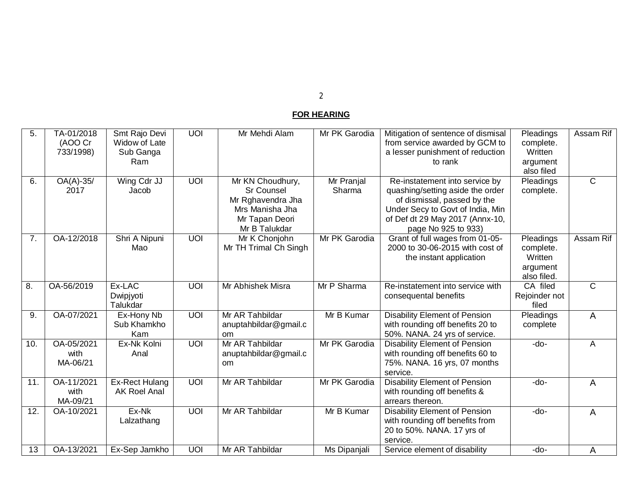# **FOR HEARING**

| 5.               | TA-01/2018<br>(AOO Cr<br>733/1998) | Smt Rajo Devi<br>Widow of Late<br>Sub Ganga<br>Ram | <b>UOI</b>     | Mr Mehdi Alam                                                                                                    | Mr PK Garodia        | Mitigation of sentence of dismisal<br>from service awarded by GCM to<br>a lesser punishment of reduction<br>to rank                                                                             | Pleadings<br>complete.<br>Written<br>argument<br>also filed  | Assam Rif      |
|------------------|------------------------------------|----------------------------------------------------|----------------|------------------------------------------------------------------------------------------------------------------|----------------------|-------------------------------------------------------------------------------------------------------------------------------------------------------------------------------------------------|--------------------------------------------------------------|----------------|
| 6.               | $OA(A)-35/$<br>2017                | Wing Cdr JJ<br>Jacob                               | $\overline{U}$ | Mr KN Choudhury,<br><b>Sr Counsel</b><br>Mr Rghavendra Jha<br>Mrs Manisha Jha<br>Mr Tapan Deori<br>Mr B Talukdar | Mr Pranjal<br>Sharma | Re-instatement into service by<br>quashing/setting aside the order<br>of dismissal, passed by the<br>Under Secy to Govt of India, Min<br>of Def dt 29 May 2017 (Annx-10,<br>page No 925 to 933) | Pleadings<br>complete.                                       | $\overline{C}$ |
| 7.               | OA-12/2018                         | Shri A Nipuni<br>Mao                               | $\overline{U}$ | Mr K Chonjohn<br>Mr TH Trimal Ch Singh                                                                           | Mr PK Garodia        | Grant of full wages from 01-05-<br>2000 to 30-06-2015 with cost of<br>the instant application                                                                                                   | Pleadings<br>complete.<br>Written<br>argument<br>also filed. | Assam Rif      |
| $\overline{8}$ . | OA-56/2019                         | Ex-LAC<br>Dwipjyoti<br>Talukdar                    | <b>UOI</b>     | Mr Abhishek Misra                                                                                                | Mr P Sharma          | Re-instatement into service with<br>consequental benefits                                                                                                                                       | CA filed<br>Rejoinder not<br>filed                           | $\mathsf{C}$   |
| 9.               | OA-07/2021                         | Ex-Hony Nb<br>Sub Khamkho<br>Kam                   | UOI            | Mr AR Tahbildar<br>anuptahbildar@gmail.c<br><sub>om</sub>                                                        | Mr B Kumar           | <b>Disability Element of Pension</b><br>with rounding off benefits 20 to<br>50%. NANA. 24 yrs of service.                                                                                       | Pleadings<br>complete                                        | A              |
| 10.              | OA-05/2021<br>with<br>MA-06/21     | Ex-Nk Kolni<br>Anal                                | $\overline{U}$ | Mr AR Tahbildar<br>anuptahbildar@gmail.c<br><sub>om</sub>                                                        | Mr PK Garodia        | <b>Disability Element of Pension</b><br>with rounding off benefits 60 to<br>75%. NANA. 16 yrs, 07 months<br>service.                                                                            | -do-                                                         | A              |
| 11.              | OA-11/2021<br>with<br>MA-09/21     | <b>Ex-Rect Hulang</b><br><b>AK Roel Anal</b>       | $\overline{U}$ | Mr AR Tahbildar                                                                                                  | Mr PK Garodia        | <b>Disability Element of Pension</b><br>with rounding off benefits &<br>arrears thereon.                                                                                                        | -do-                                                         | A              |
| 12.              | OA-10/2021                         | Ex-Nk<br>Lalzathang                                | UOI            | Mr AR Tahbildar                                                                                                  | Mr B Kumar           | <b>Disability Element of Pension</b><br>with rounding off benefits from<br>20 to 50%. NANA. 17 yrs of<br>service.                                                                               | $-do-$                                                       | A              |
| 13               | OA-13/2021                         | Ex-Sep Jamkho                                      | <b>UOI</b>     | Mr AR Tahbildar                                                                                                  | Ms Dipanjali         | Service element of disability                                                                                                                                                                   | -do-                                                         | A              |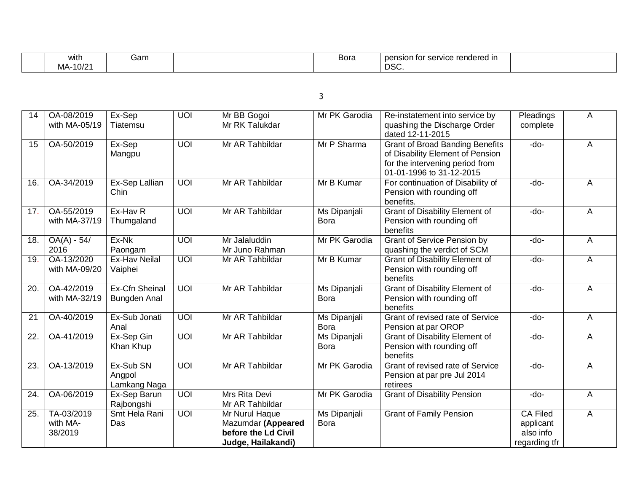| with               | Gam | <b>Bora</b> | tor service ا<br>pension<br>ייו rendered ו-<br>nn |  |
|--------------------|-----|-------------|---------------------------------------------------|--|
| 10/21<br><b>MA</b> |     |             | DSC.                                              |  |

| 14                | OA-08/2019<br>with MA-05/19       | Ex-Sep<br>Tiatemsu                    | U              | Mr BB Gogoi<br>Mr RK Talukdar                                                     | Mr PK Garodia                      | Re-instatement into service by<br>quashing the Discharge Order<br>dated 12-11-2015                                                        | Pleadings<br>complete                                      | A              |
|-------------------|-----------------------------------|---------------------------------------|----------------|-----------------------------------------------------------------------------------|------------------------------------|-------------------------------------------------------------------------------------------------------------------------------------------|------------------------------------------------------------|----------------|
| 15                | OA-50/2019                        | Ex-Sep<br>Mangpu                      | <b>UOI</b>     | Mr AR Tahbildar                                                                   | Mr P Sharma                        | <b>Grant of Broad Banding Benefits</b><br>of Disability Element of Pension<br>for the intervening period from<br>01-01-1996 to 31-12-2015 | -do-                                                       | A              |
| 16.               | OA-34/2019                        | Ex-Sep Lallian<br>Chin                | UOI            | Mr AR Tahbildar                                                                   | Mr B Kumar                         | For continuation of Disability of<br>Pension with rounding off<br>benefits.                                                               | -do-                                                       | A              |
| 17.               | OA-55/2019<br>with MA-37/19       | Ex-Hav R<br>Thumgaland                | $\overline{U}$ | Mr AR Tahbildar                                                                   | Ms Dipanjali<br><b>Bora</b>        | <b>Grant of Disability Element of</b><br>Pension with rounding off<br>benefits                                                            | $-do-$                                                     | A              |
| 18.               | $OA(A) - 54$<br>2016              | Ex-Nk<br>Paongam                      | $\overline{U}$ | Mr Jalaluddin<br>Mr Juno Rahman                                                   | Mr PK Garodia                      | <b>Grant of Service Pension by</b><br>quashing the verdict of SCM                                                                         | $-do-$                                                     | A              |
| 19.               | OA-13/2020<br>with MA-09/20       | <b>Ex-Hav Neilal</b><br>Vaiphei       | UOI            | Mr AR Tahbildar                                                                   | Mr B Kumar                         | <b>Grant of Disability Element of</b><br>Pension with rounding off<br>benefits                                                            | $-do-$                                                     | A              |
| 20.               | OA-42/2019<br>with MA-32/19       | Ex-Cfn Sheinal<br><b>Bungden Anal</b> | $\overline{U}$ | Mr AR Tahbildar                                                                   | <b>Ms Dipanjali</b><br><b>Bora</b> | <b>Grant of Disability Element of</b><br>Pension with rounding off<br>benefits                                                            | $-do-$                                                     | A              |
| 21                | OA-40/2019                        | Ex-Sub Jonati<br>Anal                 | UOI            | Mr AR Tahbildar                                                                   | <b>Ms Dipanjali</b><br>Bora        | Grant of revised rate of Service<br>Pension at par OROP                                                                                   | -do-                                                       | A              |
| 22.               | OA-41/2019                        | Ex-Sep Gin<br>Khan Khup               | $\overline{U}$ | Mr AR Tahbildar                                                                   | Ms Dipanjali<br><b>Bora</b>        | <b>Grant of Disability Element of</b><br>Pension with rounding off<br>benefits                                                            | -do-                                                       | A              |
| 23.               | OA-13/2019                        | Ex-Sub SN<br>Angpol<br>Lamkang Naga   | UOI            | Mr AR Tahbildar                                                                   | Mr PK Garodia                      | Grant of revised rate of Service<br>Pension at par pre Jul 2014<br>retirees                                                               | -do-                                                       | A              |
| $\overline{24}$ . | OA-06/2019                        | Ex-Sep Barun<br>Rajbongshi            | UOI            | Mrs Rita Devi<br>Mr AR Tahbildar                                                  | Mr PK Garodia                      | <b>Grant of Disability Pension</b>                                                                                                        | $-do-$                                                     | $\overline{A}$ |
| 25.               | TA-03/2019<br>with MA-<br>38/2019 | Smt Hela Rani<br>Das                  | UOI            | Mr Nurul Haque<br>Mazumdar (Appeared<br>before the Ld Civil<br>Judge, Hailakandi) | Ms Dipanjali<br><b>Bora</b>        | <b>Grant of Family Pension</b>                                                                                                            | <b>CA Filed</b><br>applicant<br>also info<br>regarding tfr | A              |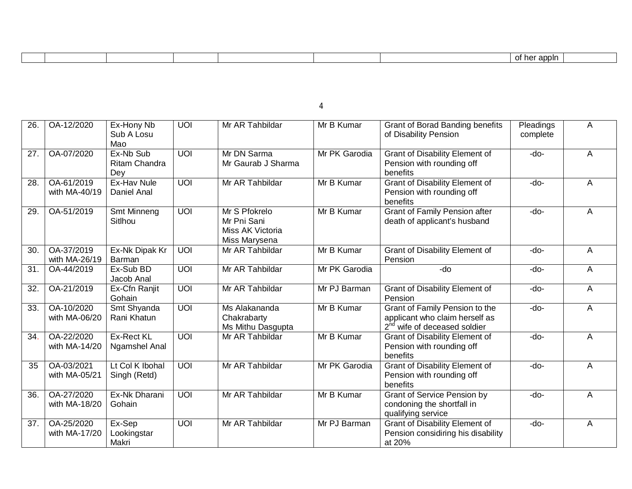|  |  | ∍<br>. . |
|--|--|----------|
|  |  |          |

| $\overline{26}$ . | OA-12/2020                  | Ex-Hony Nb<br>Sub A Losu<br>Mao          | $\overline{U}$ | Mr AR Tahbildar                                                   | Mr B Kumar    | <b>Grant of Borad Banding benefits</b><br>of Disability Pension                                              | <b>Pleadings</b><br>complete | A |
|-------------------|-----------------------------|------------------------------------------|----------------|-------------------------------------------------------------------|---------------|--------------------------------------------------------------------------------------------------------------|------------------------------|---|
| $\overline{27}$ . | OA-07/2020                  | Ex-Nb Sub<br><b>Ritam Chandra</b><br>Dey | <b>UOI</b>     | Mr DN Sarma<br>Mr Gaurab J Sharma                                 | Mr PK Garodia | <b>Grant of Disability Element of</b><br>Pension with rounding off<br>benefits                               | -do-                         | A |
| $\overline{28}$ . | OA-61/2019<br>with MA-40/19 | Ex-Hav Nule<br>Daniel Anal               | $\overline{U}$ | Mr AR Tahbildar                                                   | Mr B Kumar    | <b>Grant of Disability Element of</b><br>Pension with rounding off<br>benefits                               | -do-                         | A |
| $\overline{29}$ . | OA-51/2019                  | Smt Minneng<br>Sitlhou                   | $\overline{U}$ | Mr S Pfokrelo<br>Mr Pni Sani<br>Miss AK Victoria<br>Miss Marysena | Mr B Kumar    | <b>Grant of Family Pension after</b><br>death of applicant's husband                                         | -do-                         | A |
| $\overline{30}$ . | OA-37/2019<br>with MA-26/19 | Ex-Nk Dipak Kr<br>Barman                 | $\overline{U}$ | Mr AR Tahbildar                                                   | Mr B Kumar    | Grant of Disability Element of<br>Pension                                                                    | -do-                         | A |
| $\overline{31}$ . | OA-44/2019                  | Ex-Sub BD<br>Jacob Anal                  | $\overline{U}$ | Mr AR Tahbildar                                                   | Mr PK Garodia | $\overline{d}$                                                                                               | -do-                         | A |
| $\overline{32}$ . | OA-21/2019                  | Ex-Cfn Ranjit<br>Gohain                  | UOI            | Mr AR Tahbildar                                                   | Mr PJ Barman  | Grant of Disability Element of<br>Pension                                                                    | -do-                         | A |
| 33.               | OA-10/2020<br>with MA-06/20 | Smt Shyanda<br>Rani Khatun               | UOI            | Ms Alakananda<br>Chakrabarty<br>Ms Mithu Dasgupta                 | Mr B Kumar    | Grant of Family Pension to the<br>applicant who claim herself as<br>2 <sup>nd</sup> wife of deceased soldier | -do-                         | A |
| $\overline{34}$ . | OA-22/2020<br>with MA-14/20 | <b>Ex-Rect KL</b><br>Ngamshel Anal       | $\overline{U}$ | Mr AR Tahbildar                                                   | Mr B Kumar    | <b>Grant of Disability Element of</b><br>Pension with rounding off<br>benefits                               | -do-                         | A |
| $\overline{35}$   | OA-03/2021<br>with MA-05/21 | Lt Col K Ibohal<br>Singh (Retd)          | $\overline{U}$ | Mr AR Tahbildar                                                   | Mr PK Garodia | <b>Grant of Disability Element of</b><br>Pension with rounding off<br>benefits                               | -do-                         | A |
| $\overline{36}$ . | OA-27/2020<br>with MA-18/20 | Ex-Nk Dharani<br>Gohain                  | $\overline{U}$ | Mr AR Tahbildar                                                   | Mr B Kumar    | <b>Grant of Service Pension by</b><br>condoning the shortfall in<br>qualifying service                       | -do-                         | A |
| $\overline{37}$ . | OA-25/2020<br>with MA-17/20 | Ex-Sep<br>Lookingstar<br>Makri           | <b>UOI</b>     | Mr AR Tahbildar                                                   | Mr PJ Barman  | <b>Grant of Disability Element of</b><br>Pension considiring his disability<br>at 20%                        | -do-                         | A |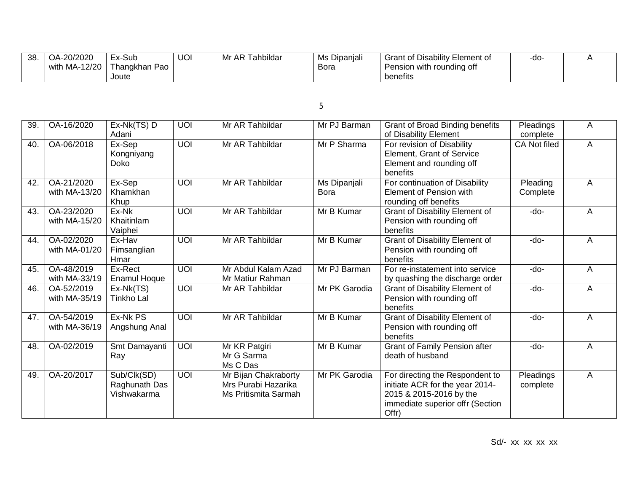| 38 | OA-20/2020    | Ex-Sub        | <b>UOI</b> | <b>Tahbildar</b><br>Mr AR | Ms Dipanjali | <b>Grant of Disability Element of</b> | -do- |  |
|----|---------------|---------------|------------|---------------------------|--------------|---------------------------------------|------|--|
|    | with MA-12/20 | Thangkhan Pao |            |                           | Bora         | Pension with rounding off             |      |  |
|    |               | Joute         |            |                           |              | benefits                              |      |  |

| 39  | OA-16/2020                  | Ex-Nk(TS) D<br>Adani                        | <b>UOI</b>     | Mr AR Tahbildar                                                     | Mr PJ Barman                | <b>Grant of Broad Binding benefits</b><br>of Disability Element                                                                            | Pleadings<br>complete | A |
|-----|-----------------------------|---------------------------------------------|----------------|---------------------------------------------------------------------|-----------------------------|--------------------------------------------------------------------------------------------------------------------------------------------|-----------------------|---|
| 40. | OA-06/2018                  | Ex-Sep<br>Kongniyang<br>Doko                | $\overline{U}$ | Mr AR Tahbildar                                                     | Mr P Sharma                 | For revision of Disability<br>Element, Grant of Service<br>Element and rounding off<br>benefits                                            | <b>CA Not filed</b>   | A |
| 42. | OA-21/2020<br>with MA-13/20 | Ex-Sep<br>Khamkhan<br>Khup                  | $\overline{U}$ | Mr AR Tahbildar                                                     | Ms Dipanjali<br><b>Bora</b> | For continuation of Disability<br>Element of Pension with<br>rounding off benefits                                                         | Pleading<br>Complete  | Α |
| 43. | OA-23/2020<br>with MA-15/20 | Ex-Nk<br>Khaitinlam<br>Vaiphei              | $\overline{U}$ | Mr AR Tahbildar                                                     | Mr B Kumar                  | <b>Grant of Disability Element of</b><br>Pension with rounding off<br>benefits                                                             | -do-                  | A |
| 44. | OA-02/2020<br>with MA-01/20 | Ex-Hav<br>Fimsanglian<br>Hmar               | $\overline{U}$ | Mr AR Tahbildar                                                     | Mr B Kumar                  | <b>Grant of Disability Element of</b><br>Pension with rounding off<br>benefits                                                             | -do-                  | A |
| 45. | OA-48/2019<br>with MA-33/19 | Ex-Rect<br><b>Enamul Hoque</b>              | $\overline{U}$ | Mr Abdul Kalam Azad<br>Mr Matiur Rahman                             | Mr PJ Barman                | For re-instatement into service<br>by quashing the discharge order                                                                         | $-do-$                | A |
| 46. | OA-52/2019<br>with MA-35/19 | Ex-Nk(TS)<br><b>Tinkho Lal</b>              | $\overline{U}$ | Mr AR Tahbildar                                                     | Mr PK Garodia               | Grant of Disability Element of<br>Pension with rounding off<br>benefits                                                                    | -do-                  | A |
| 47. | OA-54/2019<br>with MA-36/19 | Ex-Nk PS<br>Angshung Anal                   | $\overline{U}$ | Mr AR Tahbildar                                                     | Mr B Kumar                  | <b>Grant of Disability Element of</b><br>Pension with rounding off<br>benefits                                                             | -do-                  | A |
| 48. | OA-02/2019                  | Smt Damayanti<br>Ray                        | <b>UOI</b>     | Mr KR Patgiri<br>Mr G Sarma<br>Ms C Das                             | Mr B Kumar                  | <b>Grant of Family Pension after</b><br>death of husband                                                                                   | -do-                  | A |
| 49. | OA-20/2017                  | Sub/Clk(SD)<br>Raghunath Das<br>Vishwakarma | <b>UOI</b>     | Mr Bijan Chakraborty<br>Mrs Purabi Hazarika<br>Ms Pritismita Sarmah | Mr PK Garodia               | For directing the Respondent to<br>initiate ACR for the year 2014-<br>2015 & 2015-2016 by the<br>immediate superior offr (Section<br>Offr) | Pleadings<br>complete | A |